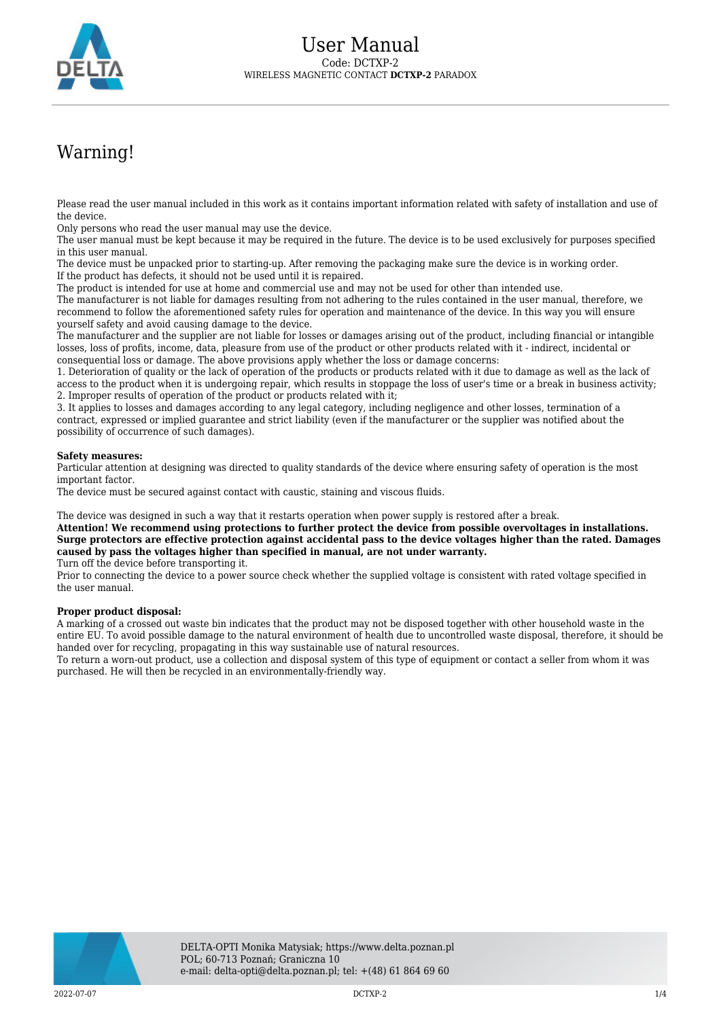

## Warning!

Please read the user manual included in this work as it contains important information related with safety of installation and use of the device.

Only persons who read the user manual may use the device.

The user manual must be kept because it may be required in the future. The device is to be used exclusively for purposes specified in this user manual.

The device must be unpacked prior to starting-up. After removing the packaging make sure the device is in working order. If the product has defects, it should not be used until it is repaired.

The product is intended for use at home and commercial use and may not be used for other than intended use.

The manufacturer is not liable for damages resulting from not adhering to the rules contained in the user manual, therefore, we recommend to follow the aforementioned safety rules for operation and maintenance of the device. In this way you will ensure yourself safety and avoid causing damage to the device.

The manufacturer and the supplier are not liable for losses or damages arising out of the product, including financial or intangible losses, loss of profits, income, data, pleasure from use of the product or other products related with it - indirect, incidental or consequential loss or damage. The above provisions apply whether the loss or damage concerns:

1. Deterioration of quality or the lack of operation of the products or products related with it due to damage as well as the lack of access to the product when it is undergoing repair, which results in stoppage the loss of user's time or a break in business activity; 2. Improper results of operation of the product or products related with it;

3. It applies to losses and damages according to any legal category, including negligence and other losses, termination of a contract, expressed or implied guarantee and strict liability (even if the manufacturer or the supplier was notified about the possibility of occurrence of such damages).

## **Safety measures:**

Particular attention at designing was directed to quality standards of the device where ensuring safety of operation is the most important factor.

The device must be secured against contact with caustic, staining and viscous fluids.

The device was designed in such a way that it restarts operation when power supply is restored after a break.

**Attention! We recommend using protections to further protect the device from possible overvoltages in installations. Surge protectors are effective protection against accidental pass to the device voltages higher than the rated. Damages caused by pass the voltages higher than specified in manual, are not under warranty.**

Turn off the device before transporting it.

Prior to connecting the device to a power source check whether the supplied voltage is consistent with rated voltage specified in the user manual.

## **Proper product disposal:**

A marking of a crossed out waste bin indicates that the product may not be disposed together with other household waste in the entire EU. To avoid possible damage to the natural environment of health due to uncontrolled waste disposal, therefore, it should be handed over for recycling, propagating in this way sustainable use of natural resources.

To return a worn-out product, use a collection and disposal system of this type of equipment or contact a seller from whom it was purchased. He will then be recycled in an environmentally-friendly way.

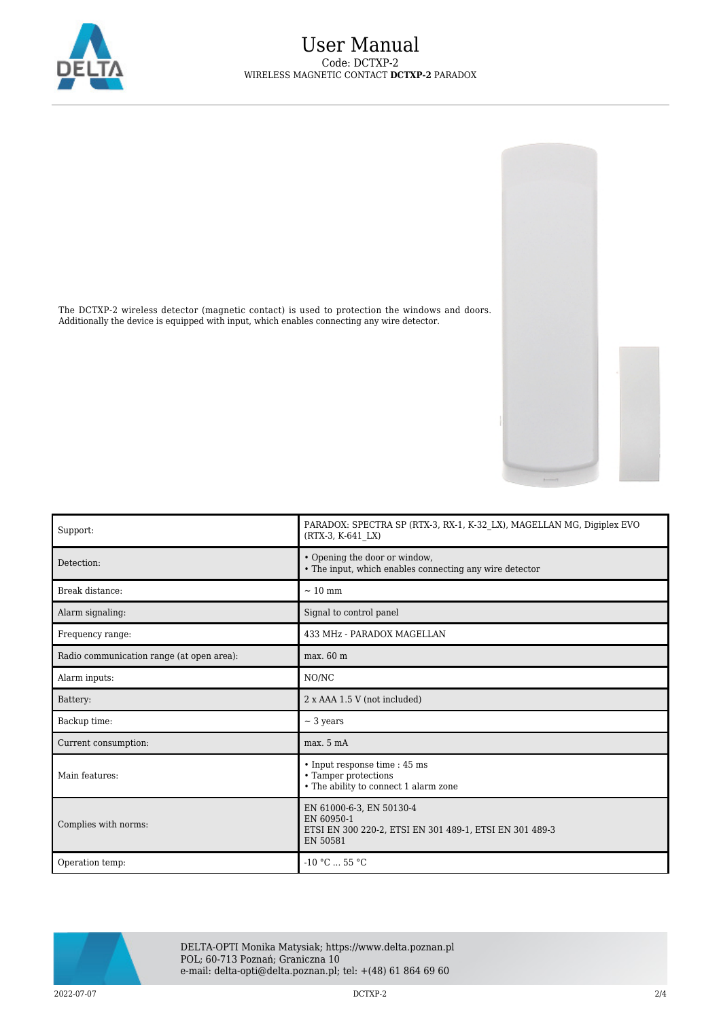

The DCTXP-2 wireless detector (magnetic contact) is used to protection the windows and doors. Additionally the device is equipped with input, which enables connecting any wire detector.





DELTA-OPTI Monika Matysiak; https://www.delta.poznan.pl POL; 60-713 Poznań; Graniczna 10 e-mail: delta-opti@delta.poznan.pl; tel: +(48) 61 864 69 60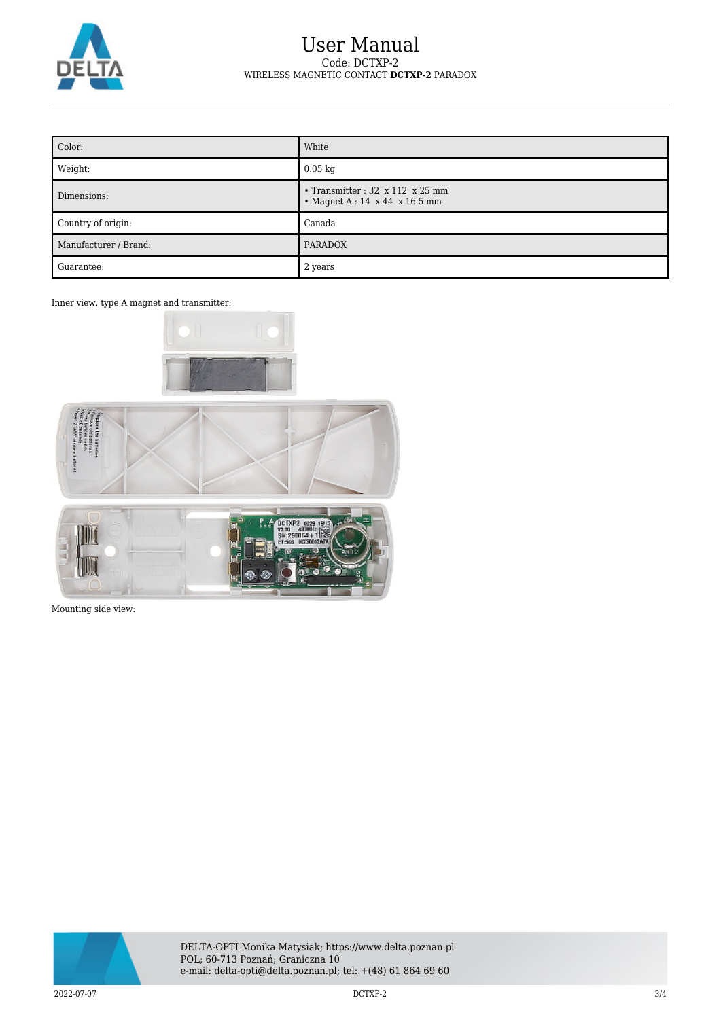

## User Manual Code: DCTXP-2 WIRELESS MAGNETIC CONTACT **DCTXP-2** PARADOX

| Color:                | White                                                                                     |
|-----------------------|-------------------------------------------------------------------------------------------|
| Weight:               | $0.05$ kg                                                                                 |
| Dimensions:           | • Transmitter : $32 \times 112 \times 25$ mm<br>• Magnet $A: 14 \times 44 \times 16.5$ mm |
| Country of origin:    | Canada                                                                                    |
| Manufacturer / Brand: | <b>PARADOX</b>                                                                            |
| Guarantee:            | 2 years                                                                                   |

Inner view, type A magnet and transmitter:







Mounting side view: